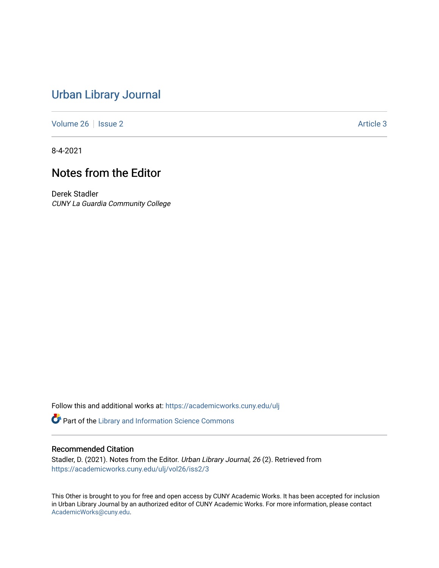### [Urban Library Journal](https://academicworks.cuny.edu/ulj)

[Volume 26](https://academicworks.cuny.edu/ulj/vol26) | [Issue 2](https://academicworks.cuny.edu/ulj/vol26/iss2) Article 3

8-4-2021

# Notes from the Editor

Derek Stadler CUNY La Guardia Community College

Follow this and additional works at: [https://academicworks.cuny.edu/ulj](https://academicworks.cuny.edu/ulj?utm_source=academicworks.cuny.edu%2Fulj%2Fvol26%2Fiss2%2F3&utm_medium=PDF&utm_campaign=PDFCoverPages)

**P** Part of the Library and Information Science Commons

#### Recommended Citation

Stadler, D. (2021). Notes from the Editor. Urban Library Journal, 26 (2). Retrieved from [https://academicworks.cuny.edu/ulj/vol26/iss2/3](https://academicworks.cuny.edu/ulj/vol26/iss2/3?utm_source=academicworks.cuny.edu%2Fulj%2Fvol26%2Fiss2%2F3&utm_medium=PDF&utm_campaign=PDFCoverPages) 

This Other is brought to you for free and open access by CUNY Academic Works. It has been accepted for inclusion in Urban Library Journal by an authorized editor of CUNY Academic Works. For more information, please contact [AcademicWorks@cuny.edu](mailto:AcademicWorks@cuny.edu).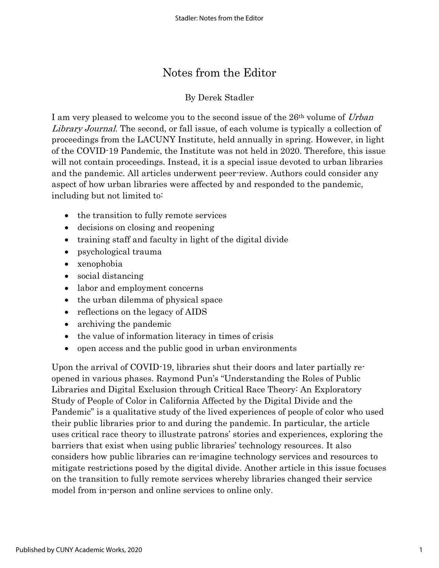## Notes from the Editor

### By Derek Stadler

I am very pleased to welcome you to the second issue of the 26<sup>th</sup> volume of Urban Library Journal. The second, or fall issue, of each volume is typically a collection of proceedings from the LACUNY Institute, held annually in spring. However, in light of the COVID-19 Pandemic, the Institute was not held in 2020. Therefore, this issue will not contain proceedings. Instead, it is a special issue devoted to urban libraries and the pandemic. All articles underwent peer-review. Authors could consider any aspect of how urban libraries were affected by and responded to the pandemic, including but not limited to:

- the transition to fully remote services
- decisions on closing and reopening
- training staff and faculty in light of the digital divide
- psychological trauma
- xenophobia
- social distancing
- labor and employment concerns
- the urban dilemma of physical space
- reflections on the legacy of AIDS
- archiving the pandemic
- the value of information literacy in times of crisis
- open access and the public good in urban environments

Upon the arrival of COVID-19, libraries shut their doors and later partially reopened in various phases. Raymond Pun's "Understanding the Roles of Public Libraries and Digital Exclusion through Critical Race Theory: An Exploratory Study of People of Color in California Affected by the Digital Divide and the Pandemic" is a qualitative study of the lived experiences of people of color who used their public libraries prior to and during the pandemic. In particular, the article uses critical race theory to illustrate patrons' stories and experiences, exploring the barriers that exist when using public libraries' technology resources. It also considers how public libraries can re-imagine technology services and resources to mitigate restrictions posed by the digital divide. Another article in this issue focuses on the transition to fully remote services whereby libraries changed their service model from in-person and online services to online only.